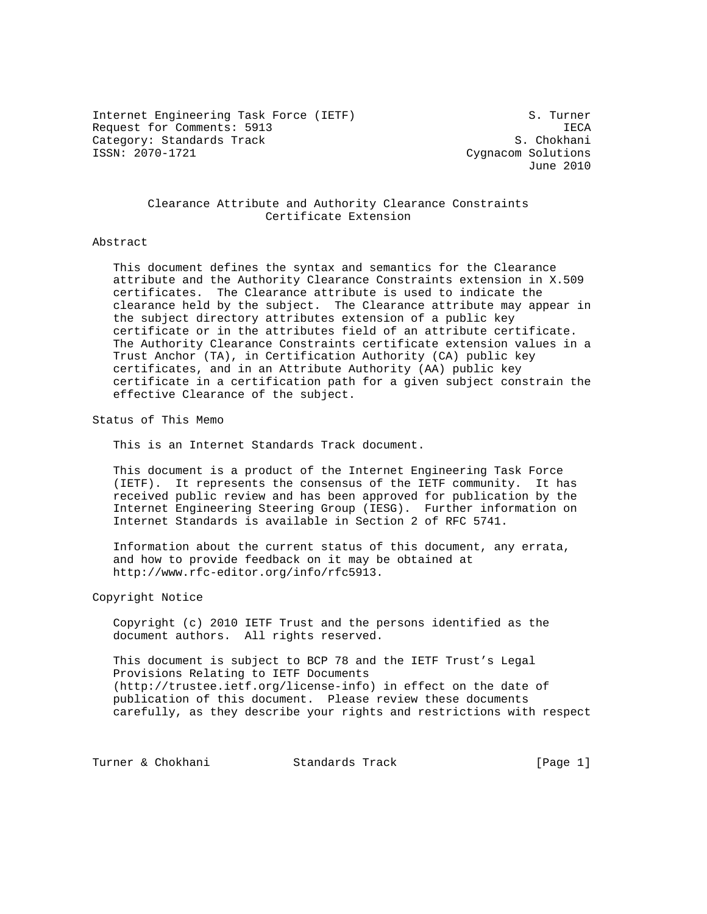Internet Engineering Task Force (IETF) S. Turner Request for Comments: 5913 IECA Category: Standards Track S. Chokhani<br>
S. Chokhani<br>
S. Chokhani<br>
Cygnacom Solutions

Cygnacom Solutions June 2010

# Clearance Attribute and Authority Clearance Constraints Certificate Extension

### Abstract

 This document defines the syntax and semantics for the Clearance attribute and the Authority Clearance Constraints extension in X.509 certificates. The Clearance attribute is used to indicate the clearance held by the subject. The Clearance attribute may appear in the subject directory attributes extension of a public key certificate or in the attributes field of an attribute certificate. The Authority Clearance Constraints certificate extension values in a Trust Anchor (TA), in Certification Authority (CA) public key certificates, and in an Attribute Authority (AA) public key certificate in a certification path for a given subject constrain the effective Clearance of the subject.

Status of This Memo

This is an Internet Standards Track document.

 This document is a product of the Internet Engineering Task Force (IETF). It represents the consensus of the IETF community. It has received public review and has been approved for publication by the Internet Engineering Steering Group (IESG). Further information on Internet Standards is available in Section 2 of RFC 5741.

 Information about the current status of this document, any errata, and how to provide feedback on it may be obtained at http://www.rfc-editor.org/info/rfc5913.

Copyright Notice

 Copyright (c) 2010 IETF Trust and the persons identified as the document authors. All rights reserved.

 This document is subject to BCP 78 and the IETF Trust's Legal Provisions Relating to IETF Documents (http://trustee.ietf.org/license-info) in effect on the date of publication of this document. Please review these documents carefully, as they describe your rights and restrictions with respect

Turner & Chokhani Standards Track [Page 1]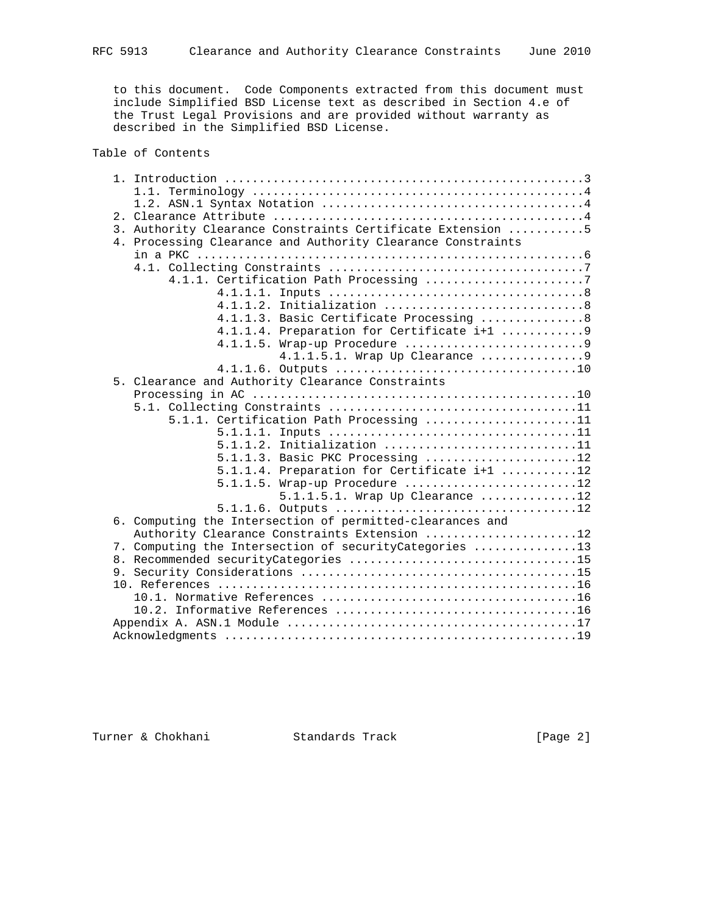to this document. Code Components extracted from this document must include Simplified BSD License text as described in Section 4.e of the Trust Legal Provisions and are provided without warranty as described in the Simplified BSD License.

Table of Contents

|  | 3. Authority Clearance Constraints Certificate Extension 5  |
|--|-------------------------------------------------------------|
|  | 4. Processing Clearance and Authority Clearance Constraints |
|  |                                                             |
|  |                                                             |
|  | 4.1.1. Certification Path Processing 7                      |
|  |                                                             |
|  | Initialization 8<br>4.1.1.2.                                |
|  | 4.1.1.3. Basic Certificate Processing 8                     |
|  | 4.1.1.4. Preparation for Certificate i+1 9                  |
|  |                                                             |
|  |                                                             |
|  |                                                             |
|  | 5. Clearance and Authority Clearance Constraints            |
|  |                                                             |
|  |                                                             |
|  | 5.1.1. Certification Path Processing 11                     |
|  |                                                             |
|  |                                                             |
|  | 5.1.1.3. Basic PKC Processing 12                            |
|  | 5.1.1.4. Preparation for Certificate i+1 12                 |
|  | $5.1.1.5$ . Wrap-up Procedure 12                            |
|  | $5.1.1.5.1.$ Wrap Up Clearance 12                           |
|  |                                                             |
|  | 6. Computing the Intersection of permitted-clearances and   |
|  | Authority Clearance Constraints Extension 12                |
|  | 7. Computing the Intersection of securityCategories 13      |
|  |                                                             |
|  |                                                             |
|  |                                                             |
|  |                                                             |
|  |                                                             |
|  |                                                             |
|  |                                                             |
|  |                                                             |

Turner & Chokhani Standards Track [Page 2]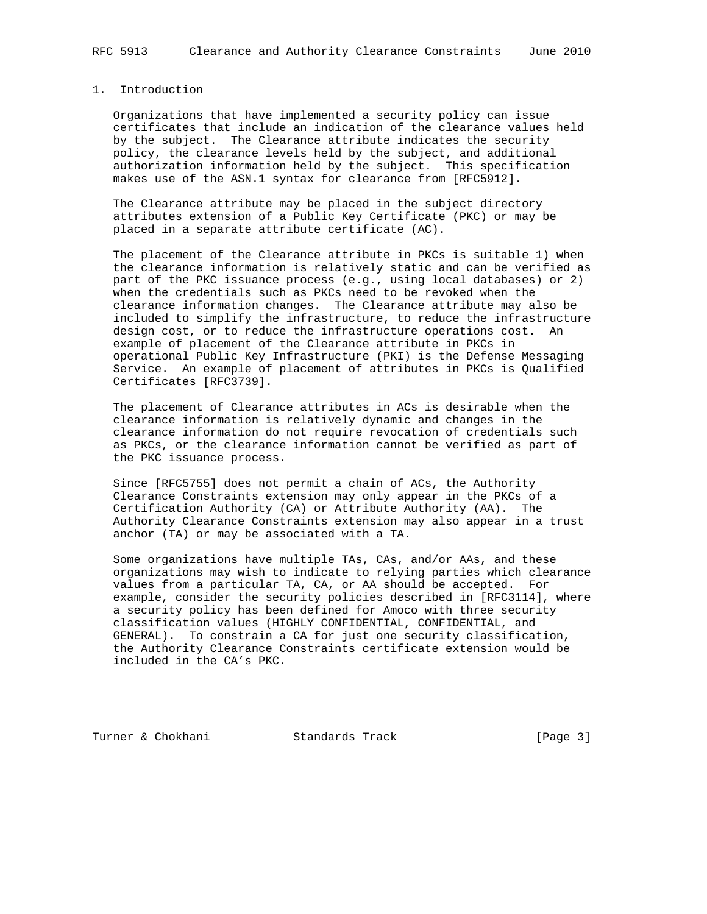## 1. Introduction

 Organizations that have implemented a security policy can issue certificates that include an indication of the clearance values held by the subject. The Clearance attribute indicates the security policy, the clearance levels held by the subject, and additional authorization information held by the subject. This specification makes use of the ASN.1 syntax for clearance from [RFC5912].

 The Clearance attribute may be placed in the subject directory attributes extension of a Public Key Certificate (PKC) or may be placed in a separate attribute certificate (AC).

 The placement of the Clearance attribute in PKCs is suitable 1) when the clearance information is relatively static and can be verified as part of the PKC issuance process (e.g., using local databases) or 2) when the credentials such as PKCs need to be revoked when the clearance information changes. The Clearance attribute may also be included to simplify the infrastructure, to reduce the infrastructure design cost, or to reduce the infrastructure operations cost. An example of placement of the Clearance attribute in PKCs in operational Public Key Infrastructure (PKI) is the Defense Messaging Service. An example of placement of attributes in PKCs is Qualified Certificates [RFC3739].

 The placement of Clearance attributes in ACs is desirable when the clearance information is relatively dynamic and changes in the clearance information do not require revocation of credentials such as PKCs, or the clearance information cannot be verified as part of the PKC issuance process.

 Since [RFC5755] does not permit a chain of ACs, the Authority Clearance Constraints extension may only appear in the PKCs of a Certification Authority (CA) or Attribute Authority (AA). The Authority Clearance Constraints extension may also appear in a trust anchor (TA) or may be associated with a TA.

 Some organizations have multiple TAs, CAs, and/or AAs, and these organizations may wish to indicate to relying parties which clearance values from a particular TA, CA, or AA should be accepted. For example, consider the security policies described in [RFC3114], where a security policy has been defined for Amoco with three security classification values (HIGHLY CONFIDENTIAL, CONFIDENTIAL, and GENERAL). To constrain a CA for just one security classification, the Authority Clearance Constraints certificate extension would be included in the CA's PKC.

Turner & Chokhani Standards Track [Page 3]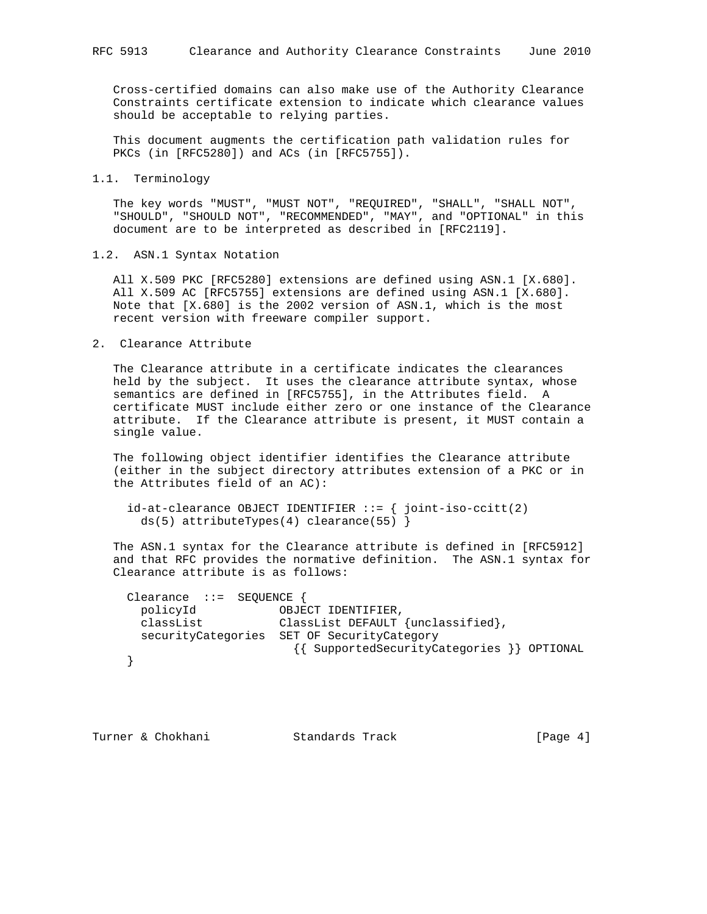Cross-certified domains can also make use of the Authority Clearance Constraints certificate extension to indicate which clearance values should be acceptable to relying parties.

 This document augments the certification path validation rules for PKCs (in [RFC5280]) and ACs (in [RFC5755]).

### 1.1. Terminology

 The key words "MUST", "MUST NOT", "REQUIRED", "SHALL", "SHALL NOT", "SHOULD", "SHOULD NOT", "RECOMMENDED", "MAY", and "OPTIONAL" in this document are to be interpreted as described in [RFC2119].

### 1.2. ASN.1 Syntax Notation

 All X.509 PKC [RFC5280] extensions are defined using ASN.1 [X.680]. All X.509 AC [RFC5755] extensions are defined using ASN.1 [X.680]. Note that [X.680] is the 2002 version of ASN.1, which is the most recent version with freeware compiler support.

#### 2. Clearance Attribute

 The Clearance attribute in a certificate indicates the clearances held by the subject. It uses the clearance attribute syntax, whose semantics are defined in [RFC5755], in the Attributes field. A certificate MUST include either zero or one instance of the Clearance attribute. If the Clearance attribute is present, it MUST contain a single value.

 The following object identifier identifies the Clearance attribute (either in the subject directory attributes extension of a PKC or in the Attributes field of an AC):

```
id-at-clearance OBJECT IDENTIFIER ::= { joint-iso-ccitt(2)
   ds(5) attributeTypes(4) clearance(55) }
```
 The ASN.1 syntax for the Clearance attribute is defined in [RFC5912] and that RFC provides the normative definition. The ASN.1 syntax for Clearance attribute is as follows:

| Clearance $::=$ SEQUENCE { |                                            |                    |                                            |  |
|----------------------------|--------------------------------------------|--------------------|--------------------------------------------|--|
| policyId                   |                                            | OBJECT IDENTIFIER, |                                            |  |
| classList                  |                                            |                    | ClassList DEFAULT {unclassified},          |  |
|                            | securityCategories SET OF SecurityCategory |                    | {{ SupportedSecurityCategories }} OPTIONAL |  |
|                            |                                            |                    |                                            |  |

Turner & Chokhani Standards Track [Page 4]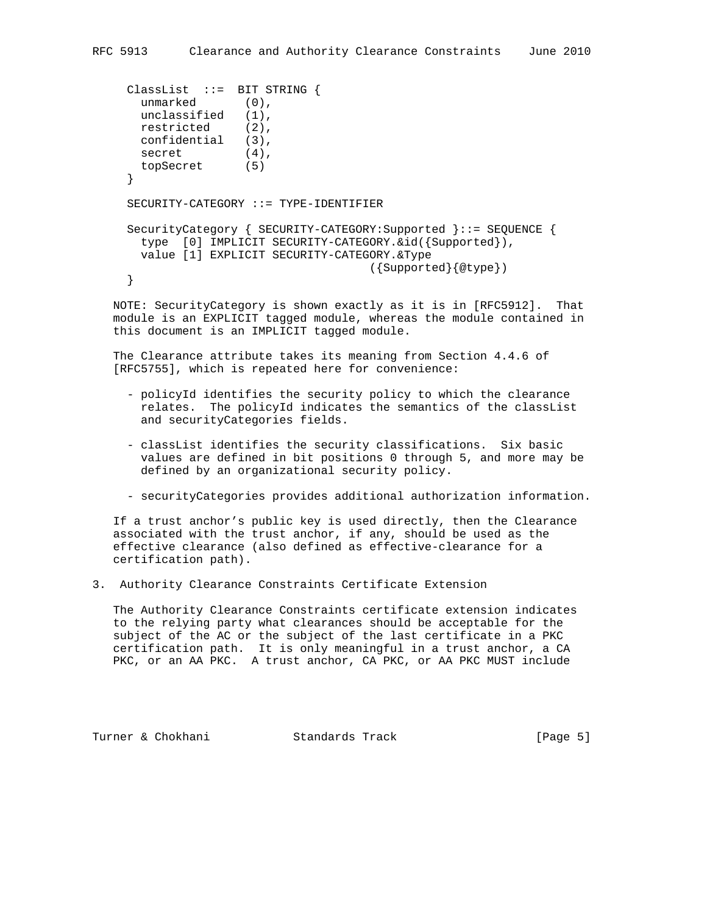```
 ClassList ::= BIT STRING {
 unmarked (0),
  unclassified (1),
  restricted (2),
  confidential (3),
 secret (4),
  topSecret (5)
 }
 SECURITY-CATEGORY ::= TYPE-IDENTIFIER
 SecurityCategory { SECURITY-CATEGORY:Supported }::= SEQUENCE {
  type [0] IMPLICIT SECURITY-CATEGORY.&id({Supported}),
  value [1] EXPLICIT SECURITY-CATEGORY.&Type
                                   ({Supported}{@type})
 }
```
 NOTE: SecurityCategory is shown exactly as it is in [RFC5912]. That module is an EXPLICIT tagged module, whereas the module contained in this document is an IMPLICIT tagged module.

 The Clearance attribute takes its meaning from Section 4.4.6 of [RFC5755], which is repeated here for convenience:

- policyId identifies the security policy to which the clearance relates. The policyId indicates the semantics of the classList and securityCategories fields.
- classList identifies the security classifications. Six basic values are defined in bit positions 0 through 5, and more may be defined by an organizational security policy.
- securityCategories provides additional authorization information.

 If a trust anchor's public key is used directly, then the Clearance associated with the trust anchor, if any, should be used as the effective clearance (also defined as effective-clearance for a certification path).

3. Authority Clearance Constraints Certificate Extension

 The Authority Clearance Constraints certificate extension indicates to the relying party what clearances should be acceptable for the subject of the AC or the subject of the last certificate in a PKC certification path. It is only meaningful in a trust anchor, a CA PKC, or an AA PKC. A trust anchor, CA PKC, or AA PKC MUST include

Turner & Chokhani Standards Track [Page 5]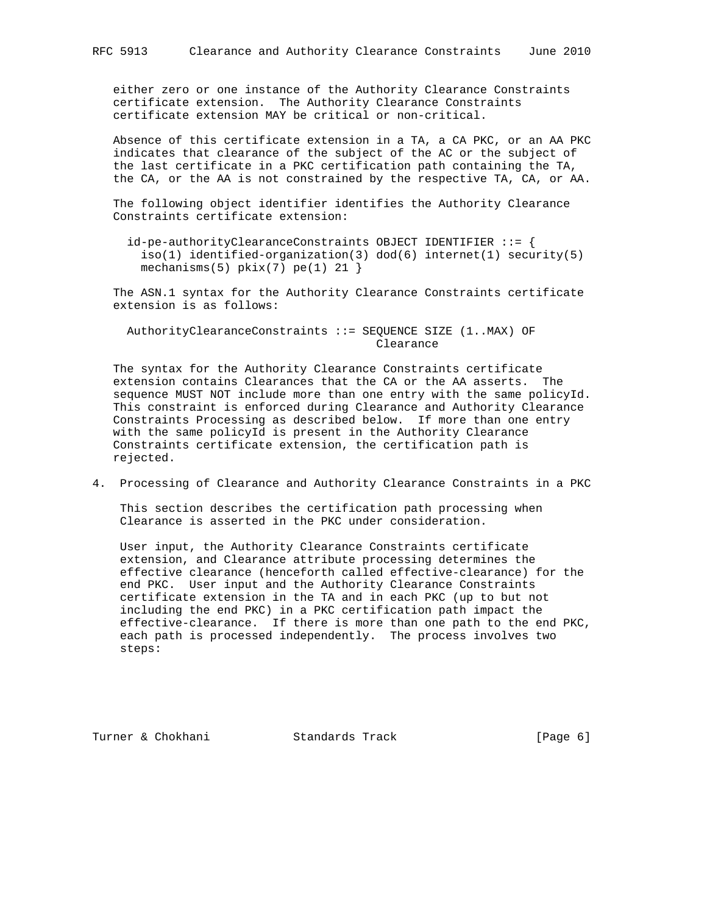either zero or one instance of the Authority Clearance Constraints certificate extension. The Authority Clearance Constraints certificate extension MAY be critical or non-critical.

 Absence of this certificate extension in a TA, a CA PKC, or an AA PKC indicates that clearance of the subject of the AC or the subject of the last certificate in a PKC certification path containing the TA, the CA, or the AA is not constrained by the respective TA, CA, or AA.

 The following object identifier identifies the Authority Clearance Constraints certificate extension:

 id-pe-authorityClearanceConstraints OBJECT IDENTIFIER ::= { iso(1) identified-organization(3) dod(6) internet(1) security(5) mechanisms(5)  $pkix(7) pe(1) 21$ 

 The ASN.1 syntax for the Authority Clearance Constraints certificate extension is as follows:

 AuthorityClearanceConstraints ::= SEQUENCE SIZE (1..MAX) OF Clearance

 The syntax for the Authority Clearance Constraints certificate extension contains Clearances that the CA or the AA asserts. The sequence MUST NOT include more than one entry with the same policyId. This constraint is enforced during Clearance and Authority Clearance Constraints Processing as described below. If more than one entry with the same policyId is present in the Authority Clearance Constraints certificate extension, the certification path is rejected.

4. Processing of Clearance and Authority Clearance Constraints in a PKC

 This section describes the certification path processing when Clearance is asserted in the PKC under consideration.

 User input, the Authority Clearance Constraints certificate extension, and Clearance attribute processing determines the effective clearance (henceforth called effective-clearance) for the end PKC. User input and the Authority Clearance Constraints certificate extension in the TA and in each PKC (up to but not including the end PKC) in a PKC certification path impact the effective-clearance. If there is more than one path to the end PKC, each path is processed independently. The process involves two steps:

Turner & Chokhani Standards Track [Page 6]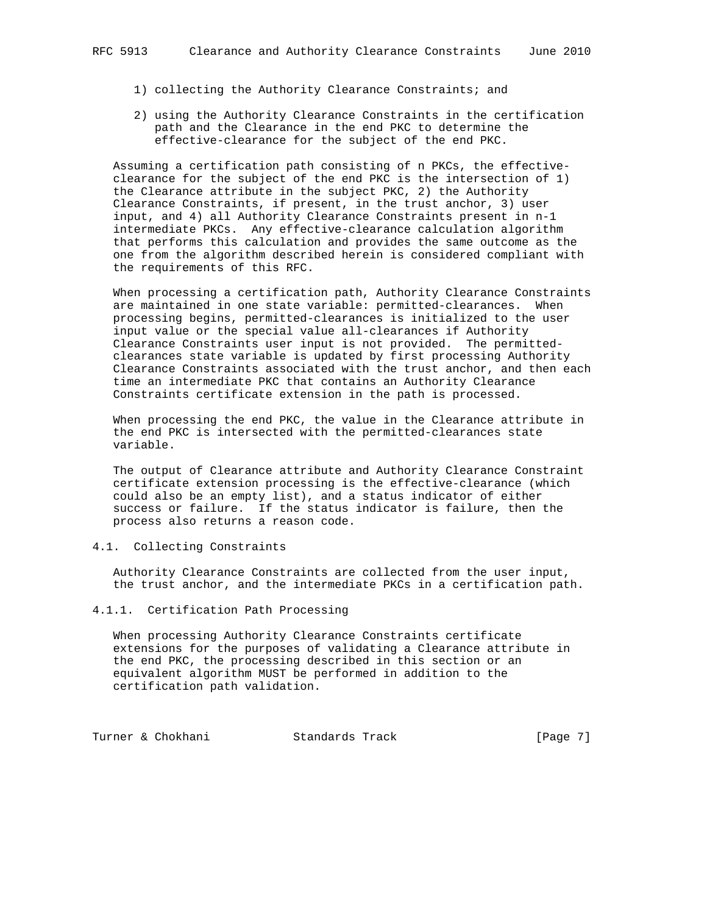- 1) collecting the Authority Clearance Constraints; and
- 2) using the Authority Clearance Constraints in the certification path and the Clearance in the end PKC to determine the effective-clearance for the subject of the end PKC.

 Assuming a certification path consisting of n PKCs, the effective clearance for the subject of the end PKC is the intersection of 1) the Clearance attribute in the subject PKC, 2) the Authority Clearance Constraints, if present, in the trust anchor, 3) user input, and 4) all Authority Clearance Constraints present in n-1 intermediate PKCs. Any effective-clearance calculation algorithm that performs this calculation and provides the same outcome as the one from the algorithm described herein is considered compliant with the requirements of this RFC.

 When processing a certification path, Authority Clearance Constraints are maintained in one state variable: permitted-clearances. When processing begins, permitted-clearances is initialized to the user input value or the special value all-clearances if Authority Clearance Constraints user input is not provided. The permitted clearances state variable is updated by first processing Authority Clearance Constraints associated with the trust anchor, and then each time an intermediate PKC that contains an Authority Clearance Constraints certificate extension in the path is processed.

 When processing the end PKC, the value in the Clearance attribute in the end PKC is intersected with the permitted-clearances state variable.

 The output of Clearance attribute and Authority Clearance Constraint certificate extension processing is the effective-clearance (which could also be an empty list), and a status indicator of either success or failure. If the status indicator is failure, then the process also returns a reason code.

### 4.1. Collecting Constraints

 Authority Clearance Constraints are collected from the user input, the trust anchor, and the intermediate PKCs in a certification path.

## 4.1.1. Certification Path Processing

 When processing Authority Clearance Constraints certificate extensions for the purposes of validating a Clearance attribute in the end PKC, the processing described in this section or an equivalent algorithm MUST be performed in addition to the certification path validation.

Turner & Chokhani Standards Track [Page 7]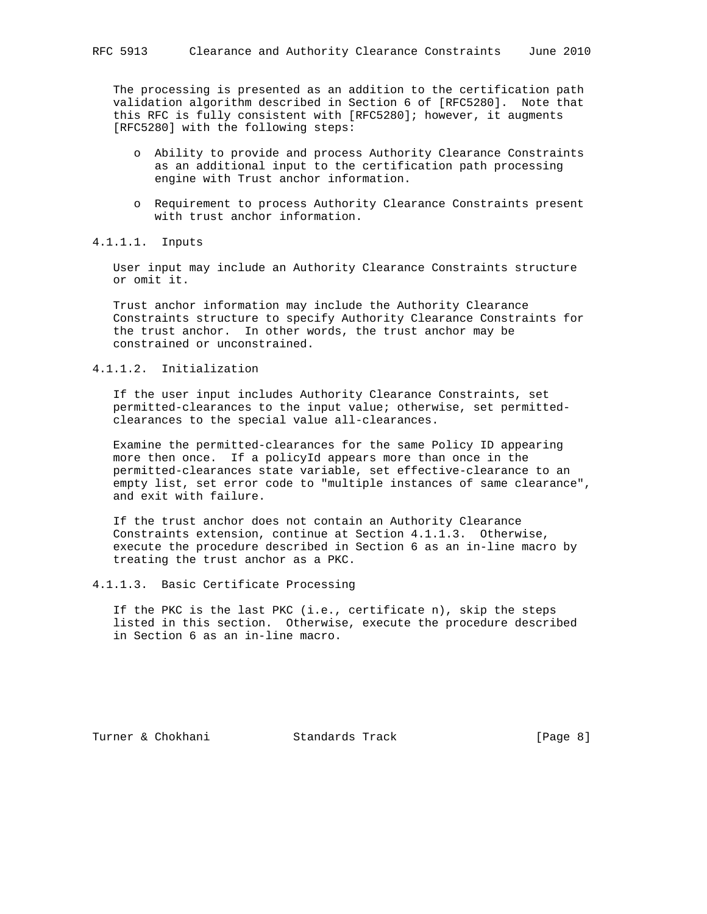The processing is presented as an addition to the certification path validation algorithm described in Section 6 of [RFC5280]. Note that this RFC is fully consistent with [RFC5280]; however, it augments [RFC5280] with the following steps:

- o Ability to provide and process Authority Clearance Constraints as an additional input to the certification path processing engine with Trust anchor information.
- o Requirement to process Authority Clearance Constraints present with trust anchor information.

4.1.1.1. Inputs

 User input may include an Authority Clearance Constraints structure or omit it.

 Trust anchor information may include the Authority Clearance Constraints structure to specify Authority Clearance Constraints for the trust anchor. In other words, the trust anchor may be constrained or unconstrained.

# 4.1.1.2. Initialization

 If the user input includes Authority Clearance Constraints, set permitted-clearances to the input value; otherwise, set permitted clearances to the special value all-clearances.

 Examine the permitted-clearances for the same Policy ID appearing more then once. If a policyId appears more than once in the permitted-clearances state variable, set effective-clearance to an empty list, set error code to "multiple instances of same clearance", and exit with failure.

 If the trust anchor does not contain an Authority Clearance Constraints extension, continue at Section 4.1.1.3. Otherwise, execute the procedure described in Section 6 as an in-line macro by treating the trust anchor as a PKC.

4.1.1.3. Basic Certificate Processing

 If the PKC is the last PKC (i.e., certificate n), skip the steps listed in this section. Otherwise, execute the procedure described in Section 6 as an in-line macro.

Turner & Chokhani Standards Track [Page 8]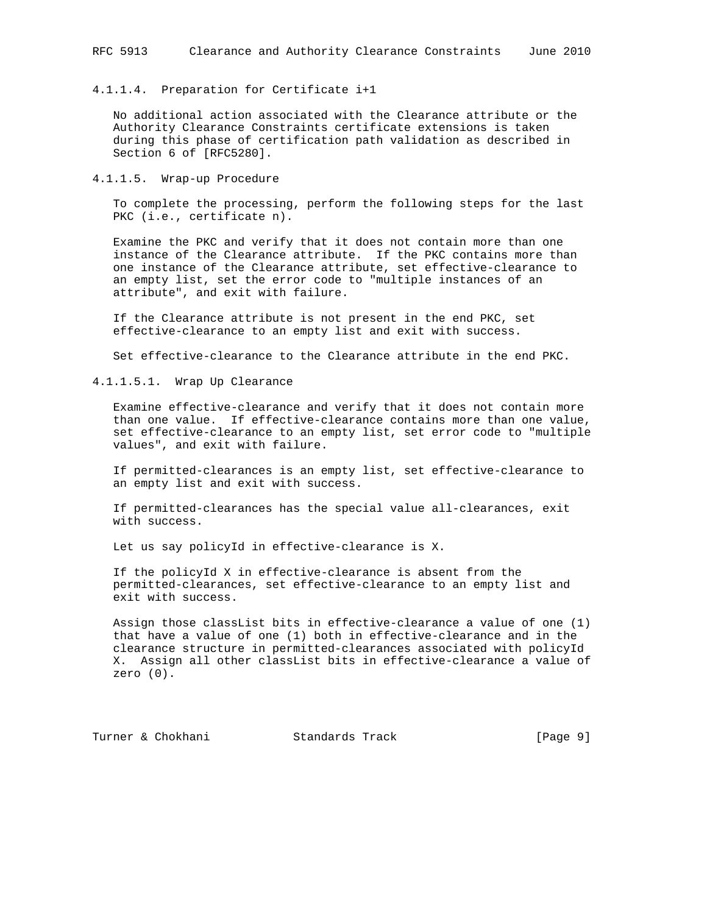#### 4.1.1.4. Preparation for Certificate i+1

 No additional action associated with the Clearance attribute or the Authority Clearance Constraints certificate extensions is taken during this phase of certification path validation as described in Section 6 of [RFC5280].

4.1.1.5. Wrap-up Procedure

 To complete the processing, perform the following steps for the last PKC (i.e., certificate n).

 Examine the PKC and verify that it does not contain more than one instance of the Clearance attribute. If the PKC contains more than one instance of the Clearance attribute, set effective-clearance to an empty list, set the error code to "multiple instances of an attribute", and exit with failure.

 If the Clearance attribute is not present in the end PKC, set effective-clearance to an empty list and exit with success.

Set effective-clearance to the Clearance attribute in the end PKC.

4.1.1.5.1. Wrap Up Clearance

 Examine effective-clearance and verify that it does not contain more than one value. If effective-clearance contains more than one value, set effective-clearance to an empty list, set error code to "multiple values", and exit with failure.

 If permitted-clearances is an empty list, set effective-clearance to an empty list and exit with success.

 If permitted-clearances has the special value all-clearances, exit with success.

Let us say policyId in effective-clearance is X.

 If the policyId X in effective-clearance is absent from the permitted-clearances, set effective-clearance to an empty list and exit with success.

 Assign those classList bits in effective-clearance a value of one (1) that have a value of one (1) both in effective-clearance and in the clearance structure in permitted-clearances associated with policyId X. Assign all other classList bits in effective-clearance a value of zero (0).

Turner & Chokhani Standards Track [Page 9]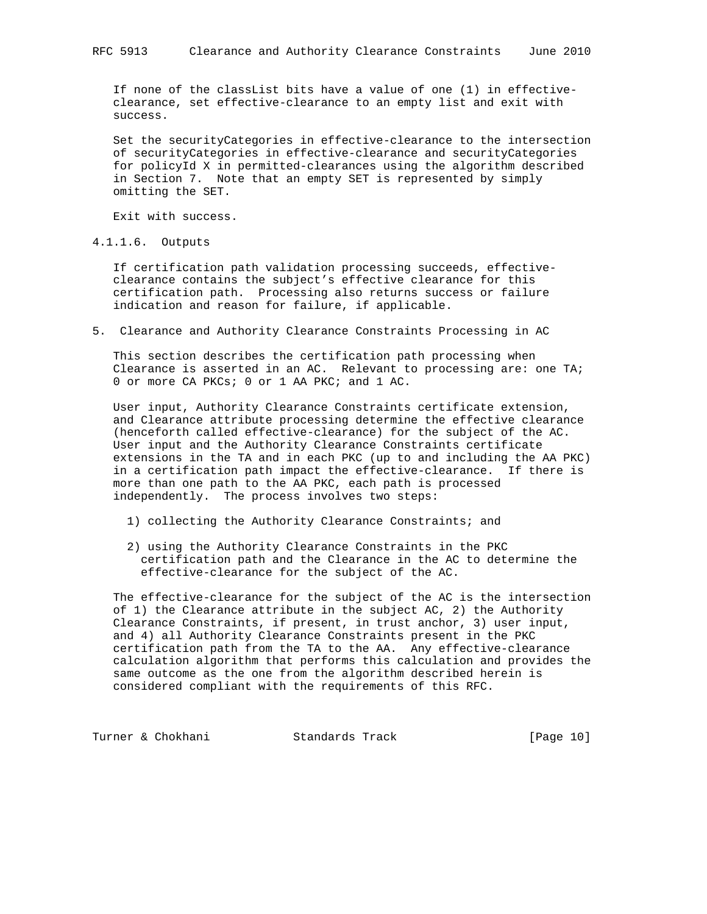If none of the classList bits have a value of one (1) in effective clearance, set effective-clearance to an empty list and exit with success.

 Set the securityCategories in effective-clearance to the intersection of securityCategories in effective-clearance and securityCategories for policyId X in permitted-clearances using the algorithm described in Section 7. Note that an empty SET is represented by simply omitting the SET.

Exit with success.

4.1.1.6. Outputs

 If certification path validation processing succeeds, effective clearance contains the subject's effective clearance for this certification path. Processing also returns success or failure indication and reason for failure, if applicable.

5. Clearance and Authority Clearance Constraints Processing in AC

 This section describes the certification path processing when Clearance is asserted in an AC. Relevant to processing are: one TA; 0 or more CA PKCs; 0 or 1 AA PKC; and 1 AC.

 User input, Authority Clearance Constraints certificate extension, and Clearance attribute processing determine the effective clearance (henceforth called effective-clearance) for the subject of the AC. User input and the Authority Clearance Constraints certificate extensions in the TA and in each PKC (up to and including the AA PKC) in a certification path impact the effective-clearance. If there is more than one path to the AA PKC, each path is processed independently. The process involves two steps:

- 1) collecting the Authority Clearance Constraints; and
- 2) using the Authority Clearance Constraints in the PKC certification path and the Clearance in the AC to determine the effective-clearance for the subject of the AC.

 The effective-clearance for the subject of the AC is the intersection of 1) the Clearance attribute in the subject AC, 2) the Authority Clearance Constraints, if present, in trust anchor, 3) user input, and 4) all Authority Clearance Constraints present in the PKC certification path from the TA to the AA. Any effective-clearance calculation algorithm that performs this calculation and provides the same outcome as the one from the algorithm described herein is considered compliant with the requirements of this RFC.

Turner & Chokhani Standards Track [Page 10]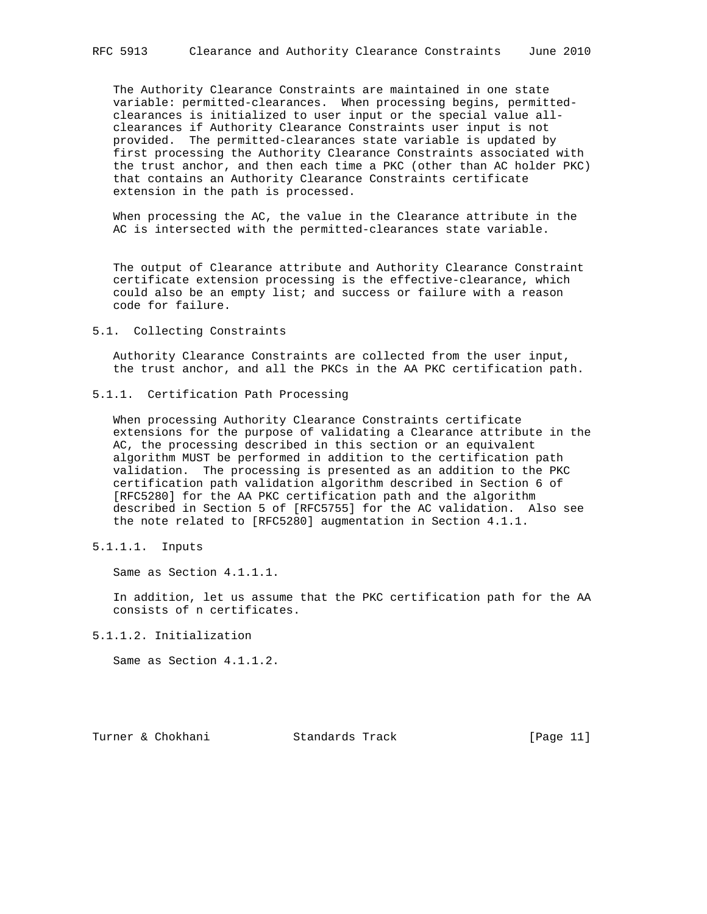The Authority Clearance Constraints are maintained in one state variable: permitted-clearances. When processing begins, permitted clearances is initialized to user input or the special value all clearances if Authority Clearance Constraints user input is not provided. The permitted-clearances state variable is updated by first processing the Authority Clearance Constraints associated with the trust anchor, and then each time a PKC (other than AC holder PKC) that contains an Authority Clearance Constraints certificate extension in the path is processed.

 When processing the AC, the value in the Clearance attribute in the AC is intersected with the permitted-clearances state variable.

 The output of Clearance attribute and Authority Clearance Constraint certificate extension processing is the effective-clearance, which could also be an empty list; and success or failure with a reason code for failure.

#### 5.1. Collecting Constraints

 Authority Clearance Constraints are collected from the user input, the trust anchor, and all the PKCs in the AA PKC certification path.

5.1.1. Certification Path Processing

 When processing Authority Clearance Constraints certificate extensions for the purpose of validating a Clearance attribute in the AC, the processing described in this section or an equivalent algorithm MUST be performed in addition to the certification path validation. The processing is presented as an addition to the PKC certification path validation algorithm described in Section 6 of [RFC5280] for the AA PKC certification path and the algorithm described in Section 5 of [RFC5755] for the AC validation. Also see the note related to [RFC5280] augmentation in Section 4.1.1.

5.1.1.1. Inputs

Same as Section 4.1.1.1.

 In addition, let us assume that the PKC certification path for the AA consists of n certificates.

5.1.1.2. Initialization

Same as Section 4.1.1.2.

Turner & Chokhani Standards Track [Page 11]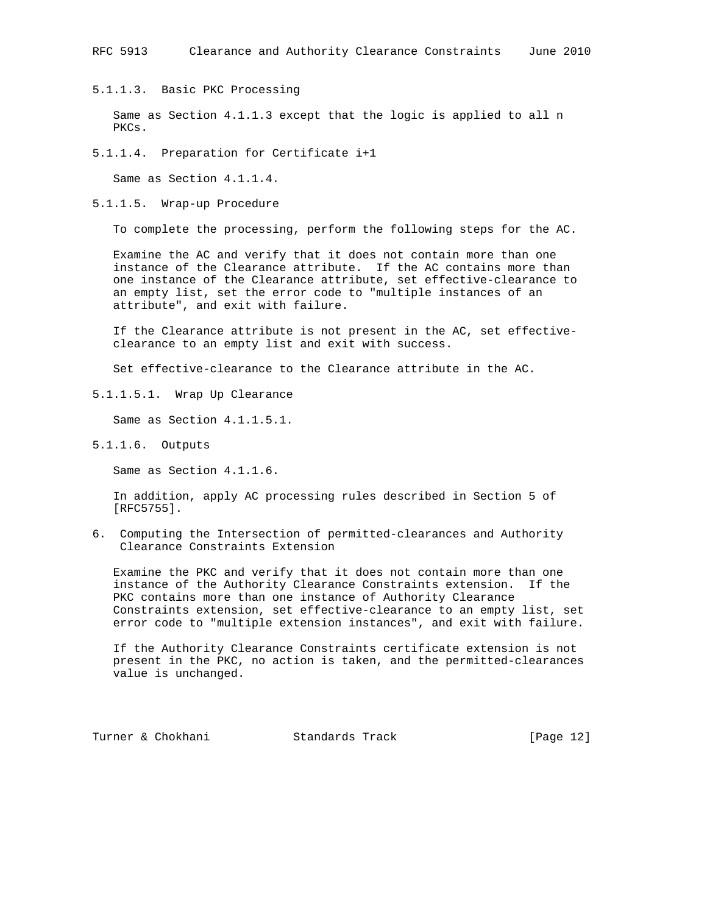5.1.1.3. Basic PKC Processing

 Same as Section 4.1.1.3 except that the logic is applied to all n PKCs.

5.1.1.4. Preparation for Certificate i+1

Same as Section 4.1.1.4.

5.1.1.5. Wrap-up Procedure

To complete the processing, perform the following steps for the AC.

 Examine the AC and verify that it does not contain more than one instance of the Clearance attribute. If the AC contains more than one instance of the Clearance attribute, set effective-clearance to an empty list, set the error code to "multiple instances of an attribute", and exit with failure.

 If the Clearance attribute is not present in the AC, set effective clearance to an empty list and exit with success.

Set effective-clearance to the Clearance attribute in the AC.

5.1.1.5.1. Wrap Up Clearance

Same as Section 4.1.1.5.1.

5.1.1.6. Outputs

Same as Section 4.1.1.6.

 In addition, apply AC processing rules described in Section 5 of [RFC5755].

6. Computing the Intersection of permitted-clearances and Authority Clearance Constraints Extension

 Examine the PKC and verify that it does not contain more than one instance of the Authority Clearance Constraints extension. If the PKC contains more than one instance of Authority Clearance Constraints extension, set effective-clearance to an empty list, set error code to "multiple extension instances", and exit with failure.

 If the Authority Clearance Constraints certificate extension is not present in the PKC, no action is taken, and the permitted-clearances value is unchanged.

Turner & Chokhani Standards Track [Page 12]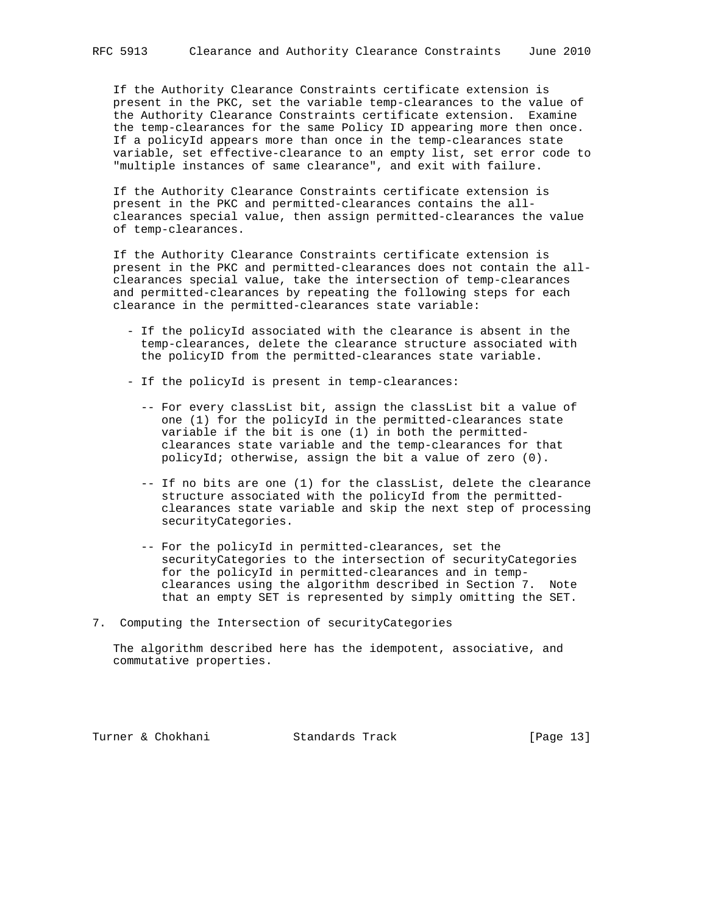If the Authority Clearance Constraints certificate extension is present in the PKC, set the variable temp-clearances to the value of the Authority Clearance Constraints certificate extension. Examine the temp-clearances for the same Policy ID appearing more then once. If a policyId appears more than once in the temp-clearances state variable, set effective-clearance to an empty list, set error code to "multiple instances of same clearance", and exit with failure.

 If the Authority Clearance Constraints certificate extension is present in the PKC and permitted-clearances contains the all clearances special value, then assign permitted-clearances the value of temp-clearances.

 If the Authority Clearance Constraints certificate extension is present in the PKC and permitted-clearances does not contain the all clearances special value, take the intersection of temp-clearances and permitted-clearances by repeating the following steps for each clearance in the permitted-clearances state variable:

- If the policyId associated with the clearance is absent in the temp-clearances, delete the clearance structure associated with the policyID from the permitted-clearances state variable.
- If the policyId is present in temp-clearances:
	- -- For every classList bit, assign the classList bit a value of one (1) for the policyId in the permitted-clearances state variable if the bit is one (1) in both the permitted clearances state variable and the temp-clearances for that policyId; otherwise, assign the bit a value of zero (0).
	- -- If no bits are one (1) for the classList, delete the clearance structure associated with the policyId from the permitted clearances state variable and skip the next step of processing securityCategories.
	- -- For the policyId in permitted-clearances, set the securityCategories to the intersection of securityCategories for the policyId in permitted-clearances and in temp clearances using the algorithm described in Section 7. Note that an empty SET is represented by simply omitting the SET.
- 7. Computing the Intersection of securityCategories

 The algorithm described here has the idempotent, associative, and commutative properties.

Turner & Chokhani Standards Track [Page 13]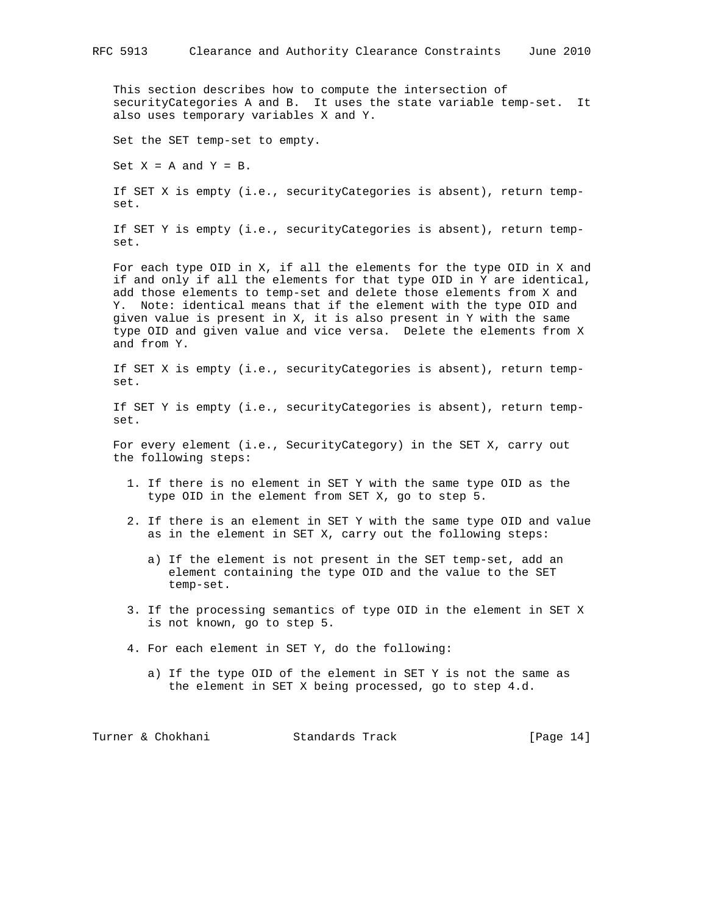This section describes how to compute the intersection of securityCategories A and B. It uses the state variable temp-set. It also uses temporary variables X and Y.

Set the SET temp-set to empty.

Set  $X = A$  and  $Y = B$ .

 If SET X is empty (i.e., securityCategories is absent), return temp set.

 If SET Y is empty (i.e., securityCategories is absent), return temp set.

 For each type OID in X, if all the elements for the type OID in X and if and only if all the elements for that type OID in Y are identical, add those elements to temp-set and delete those elements from X and Y. Note: identical means that if the element with the type OID and given value is present in X, it is also present in Y with the same type OID and given value and vice versa. Delete the elements from X and from Y.

 If SET X is empty (i.e., securityCategories is absent), return temp set.

 If SET Y is empty (i.e., securityCategories is absent), return temp set.

 For every element (i.e., SecurityCategory) in the SET X, carry out the following steps:

- 1. If there is no element in SET Y with the same type OID as the type OID in the element from SET X, go to step 5.
- 2. If there is an element in SET Y with the same type OID and value as in the element in SET X, carry out the following steps:
	- a) If the element is not present in the SET temp-set, add an element containing the type OID and the value to the SET temp-set.
- 3. If the processing semantics of type OID in the element in SET X is not known, go to step 5.
- 4. For each element in SET Y, do the following:
	- a) If the type OID of the element in SET Y is not the same as the element in SET X being processed, go to step 4.d.

Turner & Chokhani Standards Track [Page 14]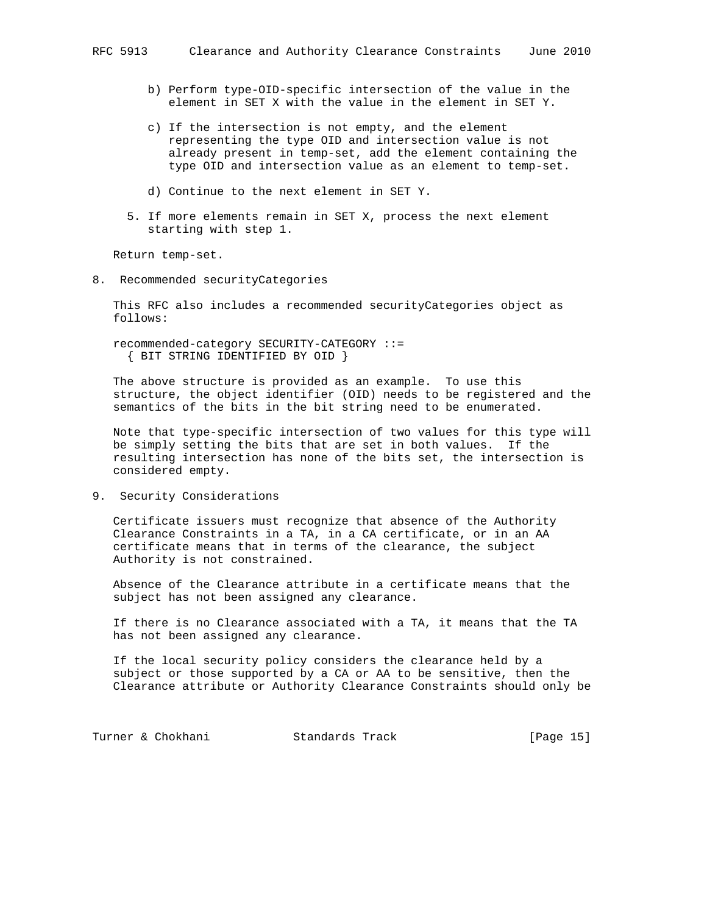- b) Perform type-OID-specific intersection of the value in the element in SET X with the value in the element in SET Y.
- c) If the intersection is not empty, and the element representing the type OID and intersection value is not already present in temp-set, add the element containing the type OID and intersection value as an element to temp-set.
- d) Continue to the next element in SET Y.
- 5. If more elements remain in SET X, process the next element starting with step 1.

Return temp-set.

8. Recommended securityCategories

 This RFC also includes a recommended securityCategories object as follows:

 recommended-category SECURITY-CATEGORY ::= { BIT STRING IDENTIFIED BY OID }

 The above structure is provided as an example. To use this structure, the object identifier (OID) needs to be registered and the semantics of the bits in the bit string need to be enumerated.

 Note that type-specific intersection of two values for this type will be simply setting the bits that are set in both values. If the resulting intersection has none of the bits set, the intersection is considered empty.

9. Security Considerations

 Certificate issuers must recognize that absence of the Authority Clearance Constraints in a TA, in a CA certificate, or in an AA certificate means that in terms of the clearance, the subject Authority is not constrained.

 Absence of the Clearance attribute in a certificate means that the subject has not been assigned any clearance.

 If there is no Clearance associated with a TA, it means that the TA has not been assigned any clearance.

 If the local security policy considers the clearance held by a subject or those supported by a CA or AA to be sensitive, then the Clearance attribute or Authority Clearance Constraints should only be

Turner & Chokhani Standards Track [Page 15]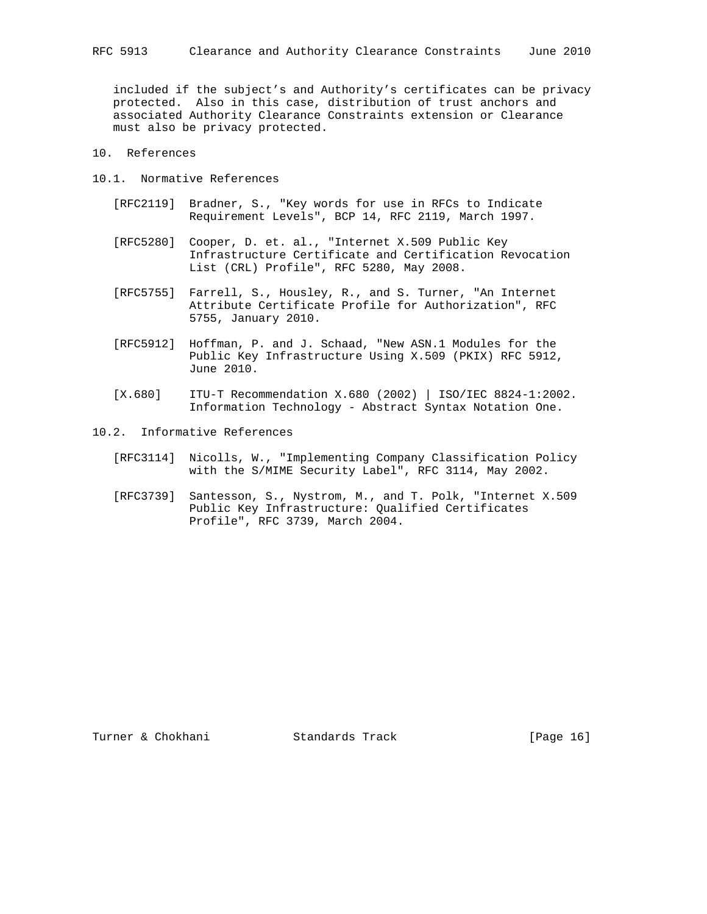included if the subject's and Authority's certificates can be privacy protected. Also in this case, distribution of trust anchors and associated Authority Clearance Constraints extension or Clearance must also be privacy protected.

- 10. References
- 10.1. Normative References
	- [RFC2119] Bradner, S., "Key words for use in RFCs to Indicate Requirement Levels", BCP 14, RFC 2119, March 1997.
	- [RFC5280] Cooper, D. et. al., "Internet X.509 Public Key Infrastructure Certificate and Certification Revocation List (CRL) Profile", RFC 5280, May 2008.
	- [RFC5755] Farrell, S., Housley, R., and S. Turner, "An Internet Attribute Certificate Profile for Authorization", RFC 5755, January 2010.
	- [RFC5912] Hoffman, P. and J. Schaad, "New ASN.1 Modules for the Public Key Infrastructure Using X.509 (PKIX) RFC 5912, June 2010.
	- [X.680] ITU-T Recommendation X.680 (2002) | ISO/IEC 8824-1:2002. Information Technology - Abstract Syntax Notation One.
- 10.2. Informative References
	- [RFC3114] Nicolls, W., "Implementing Company Classification Policy with the S/MIME Security Label", RFC 3114, May 2002.
	- [RFC3739] Santesson, S., Nystrom, M., and T. Polk, "Internet X.509 Public Key Infrastructure: Qualified Certificates Profile", RFC 3739, March 2004.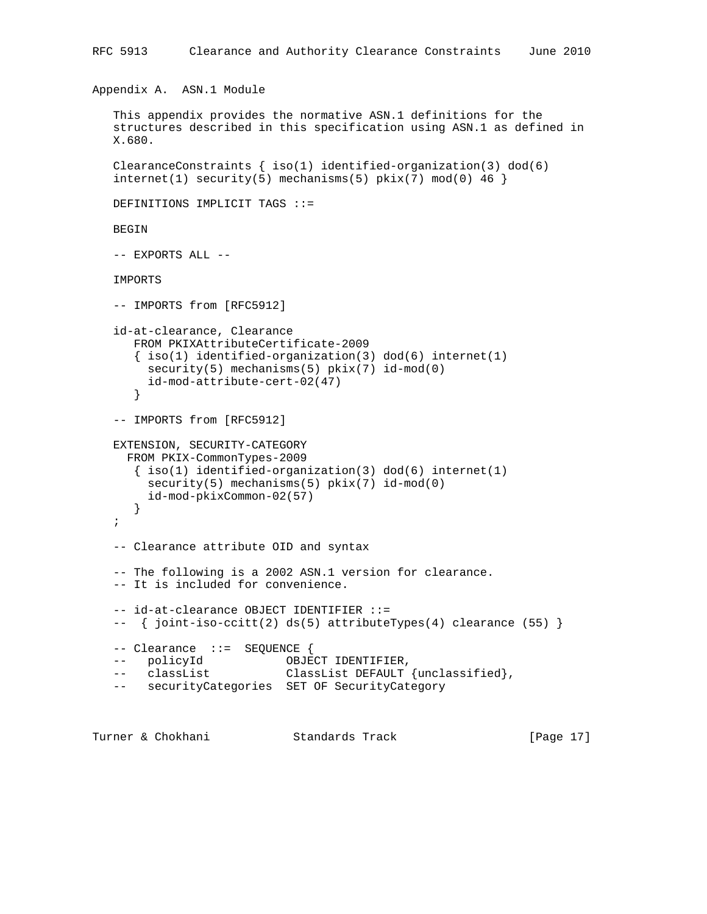Appendix A. ASN.1 Module

```
 This appendix provides the normative ASN.1 definitions for the
   structures described in this specification using ASN.1 as defined in
   X.680.
  ClearanceConstraints \{ iso(1) <i>identified-organization(3) <math> dod(6)</math>internet(1) security(5) mechanisms(5) pix(7) mod(0) 46 DEFINITIONS IMPLICIT TAGS ::=
   BEGIN
   -- EXPORTS ALL --
   IMPORTS
  -- IMPORTS from [RFC5912]
   id-at-clearance, Clearance
      FROM PKIXAttributeCertificate-2009
     \{ iso(1) <i>identified-organization(3) <math> dod(6) <i>internet(1)</i> security(5) mechanisms(5) pkix(7) id-mod(0)
        id-mod-attribute-cert-02(47)
      }
   -- IMPORTS from [RFC5912]
   EXTENSION, SECURITY-CATEGORY
     FROM PKIX-CommonTypes-2009
      { iso(1) identified-organization(3) dod(6) internet(1)
       security(5) mechanisms(5) pkix(7) id-mod(0)
        id-mod-pkixCommon-02(57)
      }
   ;
   -- Clearance attribute OID and syntax
   -- The following is a 2002 ASN.1 version for clearance.
   -- It is included for convenience.
   -- id-at-clearance OBJECT IDENTIFIER ::=
   -- { joint-iso-ccitt(2) ds(5) attributeTypes(4) clearance (55) }
   -- Clearance ::= SEQUENCE {
 -- policyId OBJECT IDENTIFIER,
 -- classList ClassList DEFAULT {unclassified},
  -- securityCategories SET OF SecurityCategory
```
Turner & Chokhani Standards Track [Page 17]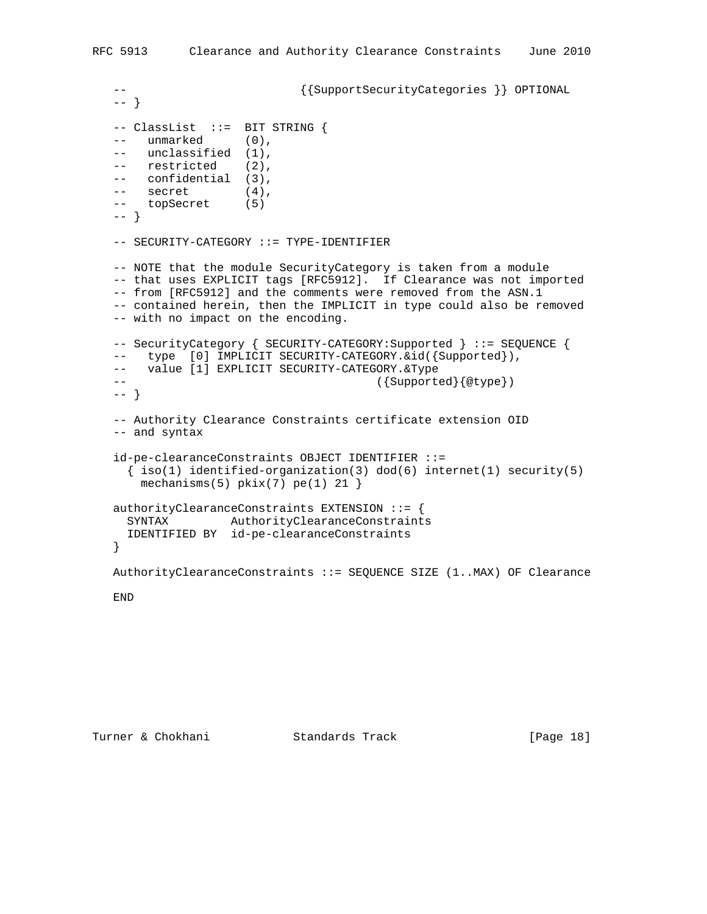```
-- {SupertSecurityCategorical} OPTIONAL
 -- }
 -- ClassList ::= BIT STRING {
 -- unmarked (0),
-- unclassified (1),
 -- restricted (2),
 -- confidential (3),
 -- secret (4),
 -- topSecret (5)
 -- }
-- SECURITY-CATEGORY ::= TYPE-IDENTIFIER
 -- NOTE that the module SecurityCategory is taken from a module
 -- that uses EXPLICIT tags [RFC5912]. If Clearance was not imported
 -- from [RFC5912] and the comments were removed from the ASN.1
 -- contained herein, then the IMPLICIT in type could also be removed
 -- with no impact on the encoding.
 -- SecurityCategory { SECURITY-CATEGORY:Supported } ::= SEQUENCE {
-- type [0] IMPLICIT SECURITY-CATEGORY. &id({Supported}),
-- value [1] EXPLICIT SECURITY-CATEGORY. &Type
-- ({Supported}{@type})
 -- }
 -- Authority Clearance Constraints certificate extension OID
 -- and syntax
 id-pe-clearanceConstraints OBJECT IDENTIFIER ::=
  { iso(1) identified-organization(3) dod(6) internet(1) security(5)
    mechanisms(5) pkix(7) pe(1) 21 }
 authorityClearanceConstraints EXTENSION ::= {
  SYNTAX AuthorityClearanceConstraints
  IDENTIFIED BY id-pe-clearanceConstraints
 }
 AuthorityClearanceConstraints ::= SEQUENCE SIZE (1..MAX) OF Clearance
 END
```

```
Turner & Chokhani Standards Track [Page 18]
```